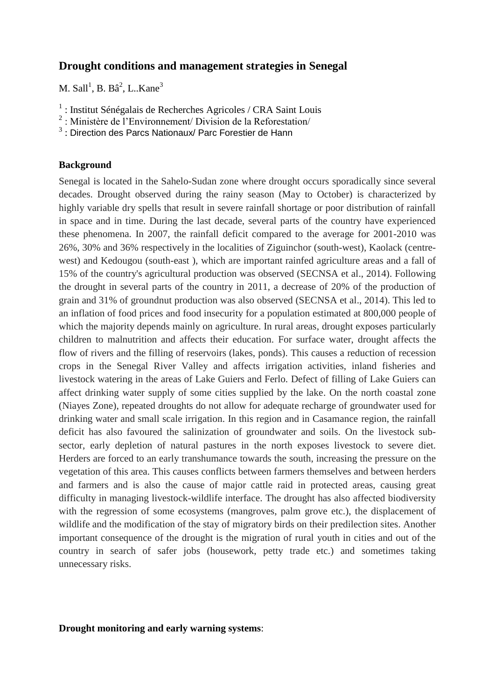# **Drought conditions and management strategies in Senegal**

M. Sall<sup>1</sup>, B. Bâ<sup>2</sup>, L. Kane<sup>3</sup>

- <sup>1</sup> : Institut Sénégalais de Recherches Agricoles / CRA Saint Louis
- 2 : Ministère de l'Environnement/ Division de la Reforestation/
- $3$ : Direction des Parcs Nationaux/ Parc Forestier de Hann

## **Background**

Senegal is located in the Sahelo-Sudan zone where drought occurs sporadically since several decades. Drought observed during the rainy season (May to October) is characterized by highly variable dry spells that result in severe rainfall shortage or poor distribution of rainfall in space and in time. During the last decade, several parts of the country have experienced these phenomena. In 2007, the rainfall deficit compared to the average for 2001-2010 was 26%, 30% and 36% respectively in the localities of Ziguinchor (south-west), Kaolack (centrewest) and Kedougou (south-east ), which are important rainfed agriculture areas and a fall of 15% of the country's agricultural production was observed (SECNSA et al., 2014). Following the drought in several parts of the country in 2011, a decrease of 20% of the production of grain and 31% of groundnut production was also observed (SECNSA et al., 2014). This led to an inflation of food prices and food insecurity for a population estimated at 800,000 people of which the majority depends mainly on agriculture. In rural areas, drought exposes particularly children to malnutrition and affects their education. For surface water, drought affects the flow of rivers and the filling of reservoirs (lakes, ponds). This causes a reduction of recession crops in the Senegal River Valley and affects irrigation activities, inland fisheries and livestock watering in the areas of Lake Guiers and Ferlo. Defect of filling of Lake Guiers can affect drinking water supply of some cities supplied by the lake. On the north coastal zone (Niayes Zone), repeated droughts do not allow for adequate recharge of groundwater used for drinking water and small scale irrigation. In this region and in Casamance region, the rainfall deficit has also favoured the salinization of groundwater and soils. On the livestock subsector, early depletion of natural pastures in the north exposes livestock to severe diet. Herders are forced to an early transhumance towards the south, increasing the pressure on the vegetation of this area. This causes conflicts between farmers themselves and between herders and farmers and is also the cause of major cattle raid in protected areas, causing great difficulty in managing livestock-wildlife interface. The drought has also affected biodiversity with the regression of some ecosystems (mangroves, palm grove etc.), the displacement of wildlife and the modification of the stay of migratory birds on their predilection sites. Another important consequence of the drought is the migration of rural youth in cities and out of the country in search of safer jobs (housework, petty trade etc.) and sometimes taking unnecessary risks.

**Drought monitoring and early warning systems**: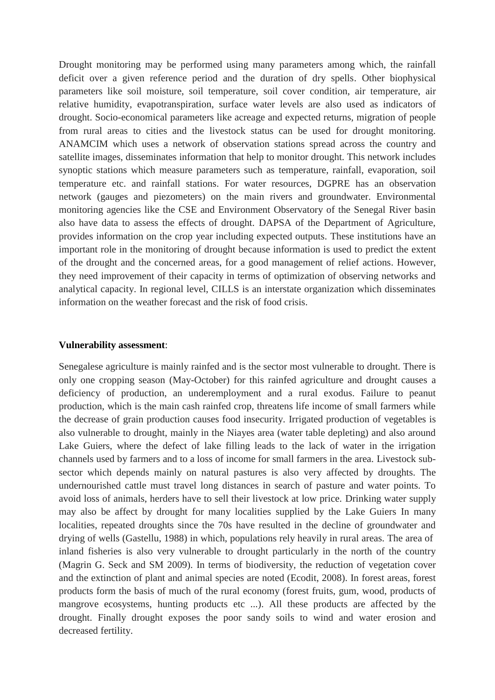Drought monitoring may be performed using many parameters among which, the rainfall deficit over a given reference period and the duration of dry spells. Other biophysical parameters like soil moisture, soil temperature, soil cover condition, air temperature, air relative humidity, evapotranspiration, surface water levels are also used as indicators of drought. Socio-economical parameters like acreage and expected returns, migration of people from rural areas to cities and the livestock status can be used for drought monitoring. ANAMCIM which uses a network of observation stations spread across the country and satellite images, disseminates information that help to monitor drought. This network includes synoptic stations which measure parameters such as temperature, rainfall, evaporation, soil temperature etc. and rainfall stations. For water resources, DGPRE has an observation network (gauges and piezometers) on the main rivers and groundwater. Environmental monitoring agencies like the CSE and Environment Observatory of the Senegal River basin also have data to assess the effects of drought. DAPSA of the Department of Agriculture, provides information on the crop year including expected outputs. These institutions have an important role in the monitoring of drought because information is used to predict the extent of the drought and the concerned areas, for a good management of relief actions. However, they need improvement of their capacity in terms of optimization of observing networks and analytical capacity. In regional level, CILLS is an interstate organization which disseminates information on the weather forecast and the risk of food crisis.

#### **Vulnerability assessment**:

Senegalese agriculture is mainly rainfed and is the sector most vulnerable to drought. There is only one cropping season (May-October) for this rainfed agriculture and drought causes a deficiency of production, an underemployment and a rural exodus. Failure to peanut production, which is the main cash rainfed crop, threatens life income of small farmers while the decrease of grain production causes food insecurity. Irrigated production of vegetables is also vulnerable to drought, mainly in the Niayes area (water table depleting) and also around Lake Guiers, where the defect of lake filling leads to the lack of water in the irrigation channels used by farmers and to a loss of income for small farmers in the area. Livestock subsector which depends mainly on natural pastures is also very affected by droughts. The undernourished cattle must travel long distances in search of pasture and water points. To avoid loss of animals, herders have to sell their livestock at low price. Drinking water supply may also be affect by drought for many localities supplied by the Lake Guiers In many localities, repeated droughts since the 70s have resulted in the decline of groundwater and drying of wells (Gastellu, 1988) in which, populations rely heavily in rural areas. The area of inland fisheries is also very vulnerable to drought particularly in the north of the country (Magrin G. Seck and SM 2009). In terms of biodiversity, the reduction of vegetation cover and the extinction of plant and animal species are noted (Ecodit, 2008). In forest areas, forest products form the basis of much of the rural economy (forest fruits, gum, wood, products of mangrove ecosystems, hunting products etc ...). All these products are affected by the drought. Finally drought exposes the poor sandy soils to wind and water erosion and decreased fertility.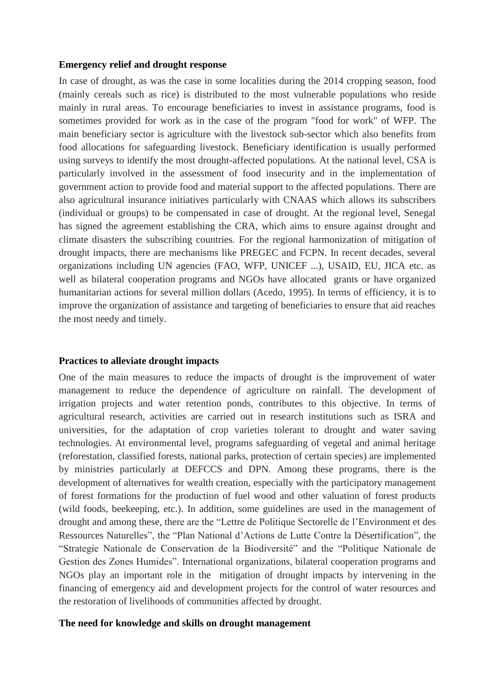## **Emergency relief and drought response**

In case of drought, as was the case in some localities during the 2014 cropping season, food (mainly cereals such as rice) is distributed to the most vulnerable populations who reside mainly in rural areas. To encourage beneficiaries to invest in assistance programs, food is sometimes provided for work as in the case of the program "food for work" of WFP. The main beneficiary sector is agriculture with the livestock sub-sector which also benefits from food allocations for safeguarding livestock. Beneficiary identification is usually performed using surveys to identify the most drought-affected populations. At the national level, CSA is particularly involved in the assessment of food insecurity and in the implementation of government action to provide food and material support to the affected populations. There are also agricultural insurance initiatives particularly with CNAAS which allows its subscribers (individual or groups) to be compensated in case of drought. At the regional level, Senegal has signed the agreement establishing the CRA, which aims to ensure against drought and climate disasters the subscribing countries. For the regional harmonization of mitigation of drought impacts, there are mechanisms like PREGEC and FCPN. In recent decades, several organizations including UN agencies (FAO, WFP, UNICEF ...), USAID, EU, JICA etc. as well as bilateral cooperation programs and NGOs have allocated grants or have organized humanitarian actions for several million dollars (Acedo, 1995). In terms of efficiency, it is to improve the organization of assistance and targeting of beneficiaries to ensure that aid reaches the most needy and timely.

### **Practices to alleviate drought impacts**

One of the main measures to reduce the impacts of drought is the improvement of water management to reduce the dependence of agriculture on rainfall. The development of irrigation projects and water retention ponds, contributes to this objective. In terms of agricultural research, activities are carried out in research institutions such as ISRA and universities, for the adaptation of crop varieties tolerant to drought and water saving technologies. At environmental level, programs safeguarding of vegetal and animal heritage (reforestation, classified forests, national parks, protection of certain species) are implemented by ministries particularly at DEFCCS and DPN. Among these programs, there is the development of alternatives for wealth creation, especially with the participatory management of forest formations for the production of fuel wood and other valuation of forest products (wild foods, beekeeping, etc.). In addition, some guidelines are used in the management of drought and among these, there are the "Lettre de Politique Sectorelle de l'Environment et des Ressources Naturelles", the "Plan National d'Actions de Lutte Contre la Désertification", the "Strategie Nationale de Conservation de la Biodiversité" and the "Politique Nationale de Gestion des Zones Humides". International organizations, bilateral cooperation programs and NGOs play an important role in the mitigation of drought impacts by intervening in the financing of emergency aid and development projects for the control of water resources and the restoration of livelihoods of communities affected by drought.

## **The need for knowledge and skills on drought management**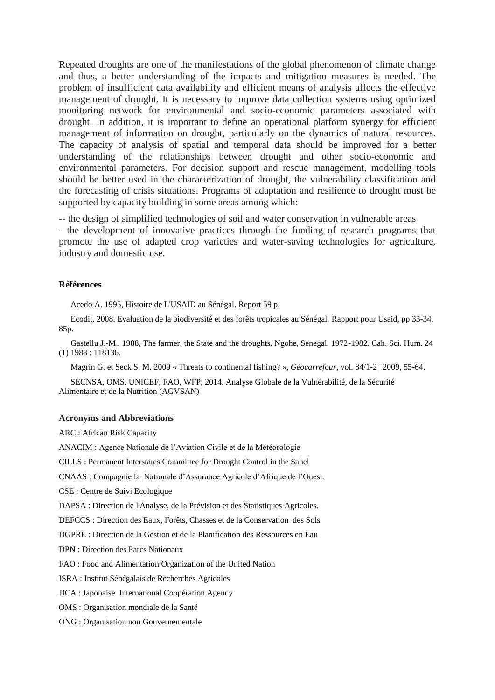Repeated droughts are one of the manifestations of the global phenomenon of climate change and thus, a better understanding of the impacts and mitigation measures is needed. The problem of insufficient data availability and efficient means of analysis affects the effective management of drought. It is necessary to improve data collection systems using optimized monitoring network for environmental and socio-economic parameters associated with drought. In addition, it is important to define an operational platform synergy for efficient management of information on drought, particularly on the dynamics of natural resources. The capacity of analysis of spatial and temporal data should be improved for a better understanding of the relationships between drought and other socio-economic and environmental parameters. For decision support and rescue management, modelling tools should be better used in the characterization of drought, the vulnerability classification and the forecasting of crisis situations. Programs of adaptation and resilience to drought must be supported by capacity building in some areas among which:

-- the design of simplified technologies of soil and water conservation in vulnerable areas

- the development of innovative practices through the funding of research programs that promote the use of adapted crop varieties and water-saving technologies for agriculture, industry and domestic use.

#### **Références**

Acedo A. 1995, Histoire de L'USAID au Sénégal. Report 59 p.

Ecodit, 2008. Evaluation de la biodiversité et des forêts tropicales au Sénégal. Rapport pour Usaid, pp 33-34. 85p.

Gastellu J.-M., 1988, The farmer, the State and the droughts. Ngohe, Senegal, 1972-1982. Cah. Sci. Hum. 24 (1) 1988 : 118136.

Magrin G. et Seck S. M. 2009 « Threats to continental fishing? », *Géocarrefour*, vol. 84/1-2 | 2009, 55-64.

SECNSA, OMS, UNICEF, FAO, WFP, 2014. Analyse Globale de la Vulnérabilité, de la Sécurité Alimentaire et de la Nutrition (AGVSAN)

#### **Acronyms and Abbreviations**

ARC : African Risk Capacity

ANACIM : Agence Nationale de l'Aviation Civile et de la Météorologie

CILLS : Permanent Interstates Committee for Drought Control in the Sahel

CNAAS : Compagnie la Nationale d'Assurance Agricole d'Afrique de l'Ouest.

CSE : Centre de Suivi Ecologique

DAPSA : Direction de l'Analyse, de la Prévision et des Statistiques Agricoles.

DEFCCS : Direction des Eaux, Forêts, Chasses et de la Conservation des Sols

DGPRE : Direction de la Gestion et de la Planification des Ressources en Eau

DPN : Direction des Parcs Nationaux

FAO : Food and Alimentation Organization of the United Nation

ISRA : Institut Sénégalais de Recherches Agricoles

JICA : Japonaise International Coopération Agency

OMS : Organisation mondiale de la Santé

ONG : Organisation non Gouvernementale